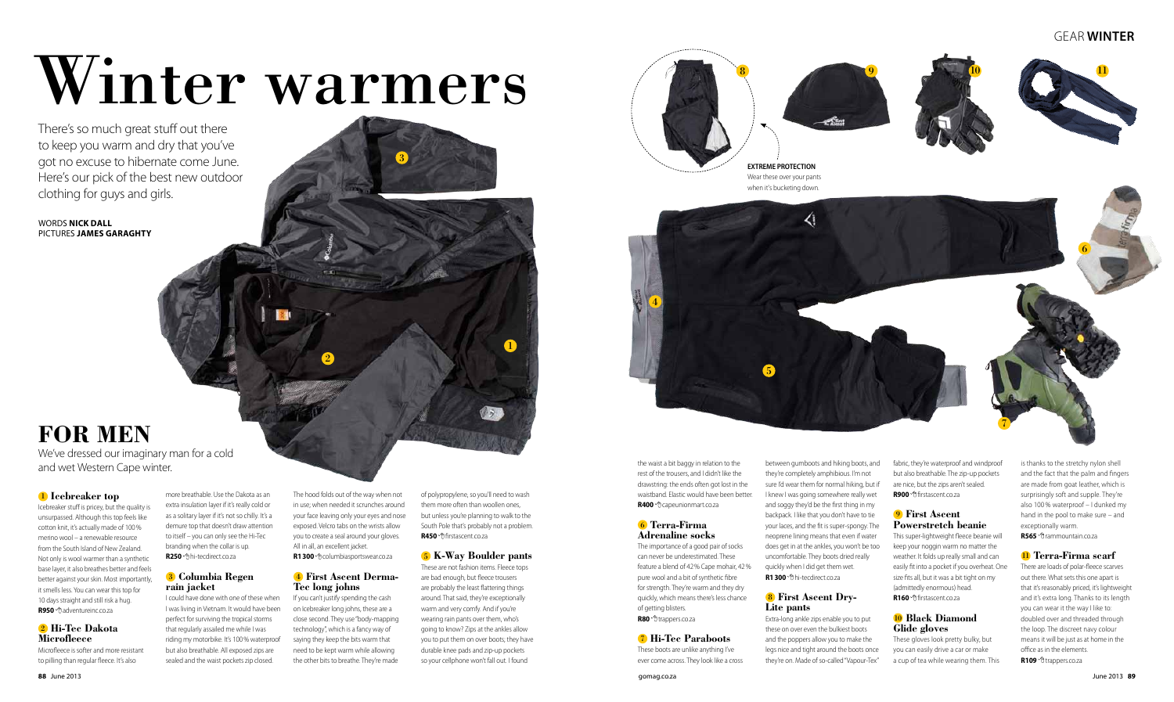### gear **WINTER**





# Winter warmers

We've dressed our imaginary man for a cold and wet Western Cape winter. The waist a bit baggy in relation to the waist a bit baggy in relation to the

There's so much great stuff out there to keep you warm and dry that you've got no excuse to hibernate come June. Here's our pick of the best new outdoor clothing for guys and girls.

WORDS **NICK DALL**  PICTURES **JAMES GARAGHTY**



### **FOR MEN**

The importance of a good pair of socks can never be underestimated. These feature a blend of 42% Cape mohair, 42% pure wool and a bit of synthetic fibre for strength. They're warm and they dry quickly, which means there's less chance of getting blisters. R80 <sup>o</sup>trappers.co.za

between gumboots and hiking boots, and they're completely amphibious. I'm not sure I'd wear them for normal hiking, but if I knew I was going somewhere really wet and soggy they'd be the first thing in my backpack. I like that you don't have to tie your laces, and the fit is super-spongy. The neoprene lining means that even if water does get in at the ankles, you won't be too uncomfortable. They boots dried really quickly when I did get them wet. **R1300** <sup>*n*</sup> hi-tecdirect.co.za

rest of the trousers, and I didn't like the drawstring: the ends often got lost in the waistband. Elastic would have been better. **R400** capeunionmart.co.za

### 6 **Terra-Firma Adrenaline socks**

fabric, they're waterproof and windproof but also breathable. The zip-up pockets are nice, but the zips aren't sealed. **R900** <sup>*A*</sup> firstascent co.za</sub>

7 **Hi-Tec Paraboots**  These boots are unlike anything I've ever come across. They look like a cross This super-lightweight fleece beanie will keep your noggin warm no matter the weather. It folds up really small and can easily fit into a pocket if you overheat. One size fits all, but it was a bit tight on my (admittedly enormous) head. **R160 firstascent.co.za** 

is thanks to the stretchy nylon shell and the fact that the palm and fingers are made from goat leather, which is surprisingly soft and supple. They're also 100 % waterproof – I dunked my hand in the pool to make sure – and exceptionally warm. **R565** <sup>*n*</sup> rammountain.co.za

There are loads of polar-fleece scarves out there. What sets this one apart is that it's reasonably priced, it's lightweight and it's extra long. Thanks to its length you can wear it the way I like to: doubled over and threaded through the loop. The discreet navy colour means it will be just as at home in the office as in the elements. **R109** *<sup>O</sup>trappers.co.za* 

### 8 **First Ascent Dry-Lite pants**

Extra-long ankle zips enable you to put these on over even the bulkiest boots and the poppers allow you to make the legs nice and tight around the boots once they're on. Made of so-called "Vapour-Tex"

### 9 **First Ascent Powerstretch beanie**

The hood folds out of the way when not in use; when needed it scrunches around your face leaving only your eyes and nose exposed. Velcro tabs on the wrists allow you to create a seal around your gloves. All in all, an excellent jacket. **R1300** <sup> $\oplus$ </sup> columbiasportswear.co.za

### 10 **Black Diamond Glide gloves**

These gloves look pretty bulky, but you can easily drive a car or make a cup of tea while wearing them. This

### 11 **Terra-Firma scarf**

### 1 **Icebreaker top**

Icebreaker stuff is pricey, but the quality is unsurpassed. Although this top feels like cotton knit, it's actually made of 100% merino wool – a renewable resource from the South Island of New Zealand. Not only is wool warmer than a synthetic base layer, it also breathes better and feels better against your skin. Most importantly, it smells less. You can wear this top for 10 days straight and still risk a hug. **R950** adventureinc.co.za

### 2 **Hi-Tec Dakota Microfleece**

Microfleece is softer and more resistant to pilling than regular fleece. It's also

more breathable. Use the Dakota as an extra insulation layer if it's really cold or as a solitary layer if it's not so chilly. It's a demure top that doesn't draw attention to itself – you can only see the Hi-Tec branding when the collar is up. **R250** hi-tecdirect.co.za

### 3 **Columbia Regen rain jacket**

I could have done with one of these when I was living in Vietnam. It would have been perfect for surviving the tropical storms that regularly assailed me while I was riding my motorbike. It's 100% waterproof but also breathable. All exposed zips are sealed and the waist pockets zip closed.

### 4 **First Ascent Derma-Tec long johns**

If you can't justify spending the cash on Icebreaker long johns, these are a close second. They use "body-mapping technology", which is a fancy way of saying they keep the bits warm that need to be kept warm while allowing the other bits to breathe. They're made of polypropylene, so you'll need to wash them more often than woollen ones, but unless you're planning to walk to the South Pole that's probably not a problem. **R450** firstascent.co.za

### 5 **K-Way Boulder pants**

These are not fashion items. Fleece tops are bad enough, but fleece trousers are probably the least flattering things around. That said, they're exceptionally warm and very comfy. And if you're wearing rain pants over them, who's going to know? Zips at the ankles allow you to put them on over boots; they have durable knee pads and zip-up pockets so your cellphone won't fall out. I found

1

2

3





**EXTREME PROTECTION**  Wear these over your pants when it's bucketing down.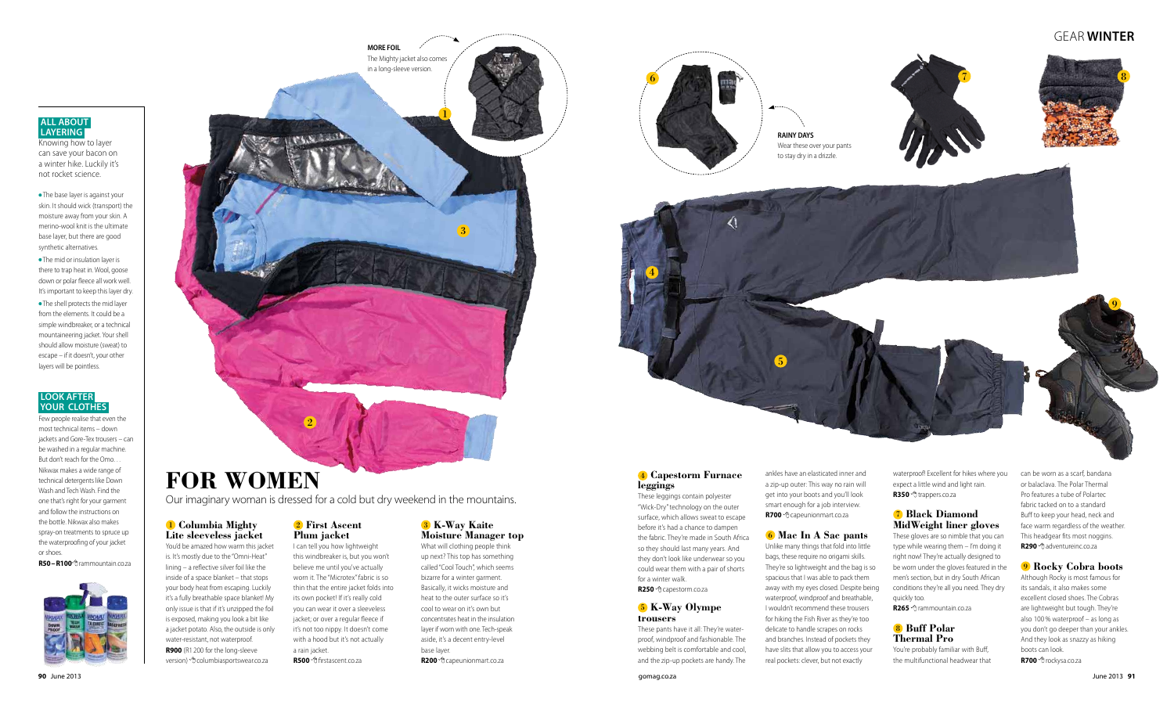### gear **WINTER**

**Lite sleeveless jacket**  You'd be amazed how warm this jacket is. It's mostly due to the "Omni-Heat" lining – a reflective silver foil like the inside of a space blanket – that stops your body heat from escaping. Luckily it's a fully breathable space blanket! My only issue is that if it's unzipped the foil is exposed, making you look a bit like a jacket potato. Also, the outside is only water-resistant, not waterproof. **R900** (R1 200 for the long-sleeve version) <sup>of</sup> columbiasportswear.co.za

### 1 **Columbia Mighty**

 $\mathcal{L}$ 

**PLY LAD** 

### 2 **First Ascent Plum jacket**

I can tell you how lightweight this windbreaker is, but you won't believe me until you've actually worn it. The "Microtex" fabric is so thin that the entire jacket folds into its own pocket! If it's really cold you can wear it over a sleeveless jacket; or over a regular fleece if it's not too nippy. It doesn't come with a hood but it's not actually a rain jacket.

**R500** firstascent.co.za

### 3 **K-Way Kaite Moisture Manager top**

What will clothing people think up next? This top has something called "Cool Touch", which seems bizarre for a winter garment. Basically, it wicks moisture and heat to the outer surface so it's cool to wear on it's own but concentrates heat in the insulation layer if worn with one. Tech-speak aside, it's a decent entry-level base layer. **R200** capeunionmart.co.za

waterproof! Excellent for hikes where you expect a little wind and light rain. R350 <sup>o</sup>trappers.co.za

**FOR WOMEN**

Our imaginary woman is dressed for a cold but dry weekend in the mountains.

### 4 **Capestorm Furnace leggings**

can be worn as a scarf, bandana or balaclava. The Polar Thermal Pro features a tube of Polartec fabric tacked on to a standard Buff to keep your head, neck and face warm regardless of the weather. This headgear fits most noggins. **R290** <sup> $\oplus$ </sup> adventureinc.co.za

These leggings contain polyester "Wick-Dry" technology on the outer surface, which allows sweat to escape before it's had a chance to dampen the fabric. They're made in South Africa so they should last many years. And they don't look like underwear so you could wear them with a pair of shorts for a winter walk. **R250** capestorm.co.za

### 5 **K-Way Olympe trousers**

These pants have it all: They're waterproof, windproof and fashionable. The webbing belt is comfortable and cool, and the zip-up pockets are handy. The

ankles have an elasticated inner and a zip-up outer: This way no rain will get into your boots and you'll look smart enough for a job interview.

**R700** capeunionmart.co.za

### 6 **Mac In A Sac pants**

Unlike many things that fold into little bags, these require no origami skills. They're so lightweight and the bag is so spacious that I was able to pack them away with my eyes closed. Despite being waterproof, windproof and breathable, I wouldn't recommend these trousers for hiking the Fish River as they're too delicate to handle scrapes on rocks and branches. Instead of pockets they have slits that allow you to access your real pockets: clever, but not exactly

### 7 **Black Diamond MidWeight liner gloves**

These gloves are so nimble that you can type while wearing them – I'm doing it right now! They're actually designed to be worn under the gloves featured in the men's section, but in dry South African conditions they're all you need. They dry quickly too.

**R265** rammountain.co.za

### 8 **Buff Polar Thermal Pro**

You're probably familiar with Buff, the multifunctional headwear that

### 9 **Rocky Cobra boots**

Although Rocky is most famous for its sandals, it also makes some excellent closed shoes. The Cobras are lightweight but tough. They're also 100 % waterproof – as long as you don't go deeper than your ankles. And they look as snazzy as hiking boots can look.

**R700** <sup>*A*</sup> rockysa.co.za</sub>

3





8

1



**RAINY DAYS**  Wear these over your pants to stay dry in a drizzle.

**MORE FOIL** The Mighty jacket also comes in a long-sleeve version.

### **All about layering**

Knowing how to layer can save your bacon on a winter hike. Luckily it's not rocket science.

 The base layer is against your skin. It should wick (transport) the moisture away from your skin. A merino-wool knit is the ultimate base layer, but there are good synthetic alternatives.

 The mid or insulation layer is there to trap heat in. Wool, goose down or polar fleece all work well. It's important to keep this layer dry.

 The shell protects the mid layer from the elements. It could be a simple windbreaker, or a technical mountaineering jacket. Your shell should allow moisture (sweat) to escape – if it doesn't, your other layers will be pointless.

### **Look after your clothes**

Few people realise that even the most technical items – down jackets and Gore-Tex trousers – can be washed in a regular machine. But don't reach for the Omo… Nikwax makes a wide range of technical detergents like Down Wash and Tech Wash. Find the one that's right for your garment and follow the instructions on the bottle. Nikwax also makes spray-on treatments to spruce up the waterproofing of your jacket or shoes.

**R50–R100** rammountain.co.za